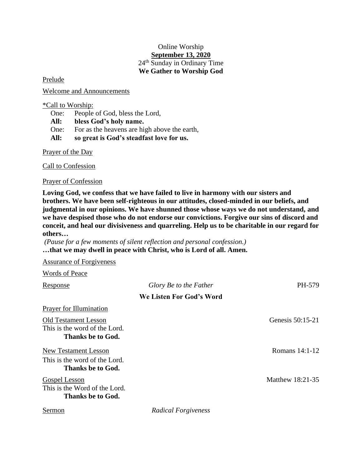## Online Worship **September 13, 2020** 24<sup>th</sup> Sunday in Ordinary Time **We Gather to Worship God**

Prelude

Welcome and Announcements

\*Call to Worship:

One: People of God, bless the Lord,

**All: bless God's holy name.**

One: For as the heavens are high above the earth,

**All: so great is God's steadfast love for us.**

Prayer of the Day

Call to Confession

Prayer of Confession

**Loving God, we confess that we have failed to live in harmony with our sisters and brothers. We have been self-righteous in our attitudes, closed-minded in our beliefs, and judgmental in our opinions. We have shunned those whose ways we do not understand, and we have despised those who do not endorse our convictions. Forgive our sins of discord and conceit, and heal our divisiveness and quarreling. Help us to be charitable in our regard for others…**

*(Pause for a few moments of silent reflection and personal confession.)* **…that we may dwell in peace with Christ, who is Lord of all. Amen.**

Assurance of Forgiveness

Words of Peace

| Response                                                                          | Glory Be to the Father   | PH-579           |
|-----------------------------------------------------------------------------------|--------------------------|------------------|
|                                                                                   | We Listen For God's Word |                  |
| Prayer for Illumination                                                           |                          |                  |
| <b>Old Testament Lesson</b><br>This is the word of the Lord.<br>Thanks be to God. |                          | Genesis 50:15-21 |
| <b>New Testament Lesson</b><br>This is the word of the Lord.<br>Thanks be to God. |                          | Romans 14:1-12   |
| <b>Gospel Lesson</b><br>This is the Word of the Lord.<br>Thanks be to God.        |                          | Matthew 18:21-35 |
| Sermon                                                                            | Radical Forgiveness      |                  |